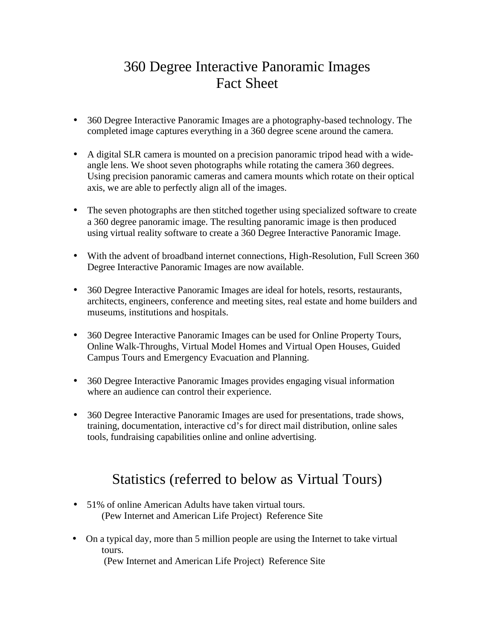## 360 Degree Interactive Panoramic Images Fact Sheet

- 360 Degree Interactive Panoramic Images are a photography-based technology. The completed image captures everything in a 360 degree scene around the camera.
- A digital SLR camera is mounted on a precision panoramic tripod head with a wideangle lens. We shoot seven photographs while rotating the camera 360 degrees. Using precision panoramic cameras and camera mounts which rotate on their optical axis, we are able to perfectly align all of the images.
- The seven photographs are then stitched together using specialized software to create a 360 degree panoramic image. The resulting panoramic image is then produced using virtual reality software to create a 360 Degree Interactive Panoramic Image.
- With the advent of broadband internet connections, High-Resolution, Full Screen 360 Degree Interactive Panoramic Images are now available.
- 360 Degree Interactive Panoramic Images are ideal for hotels, resorts, restaurants, architects, engineers, conference and meeting sites, real estate and home builders and museums, institutions and hospitals.
- 360 Degree Interactive Panoramic Images can be used for Online Property Tours, Online Walk-Throughs, Virtual Model Homes and Virtual Open Houses, Guided Campus Tours and Emergency Evacuation and Planning.
- 360 Degree Interactive Panoramic Images provides engaging visual information where an audience can control their experience.
- 360 Degree Interactive Panoramic Images are used for presentations, trade shows, training, documentation, interactive cd's for direct mail distribution, online sales tools, fundraising capabilities online and online advertising.

## Statistics (referred to below as Virtual Tours)

- 51% of online American Adults have taken virtual tours. [\(Pew Internet and American Life Project\) Reference Site](http://www.pewinternet.org/PPF/r/195/report_display.asp)
- On a typical day, more than 5 million people are using the Internet to take virtual tours.  [\(Pew Internet and American Life Project\) Reference Site](http://www.pewinternet.org/PPF/r/195/report_display.asp)